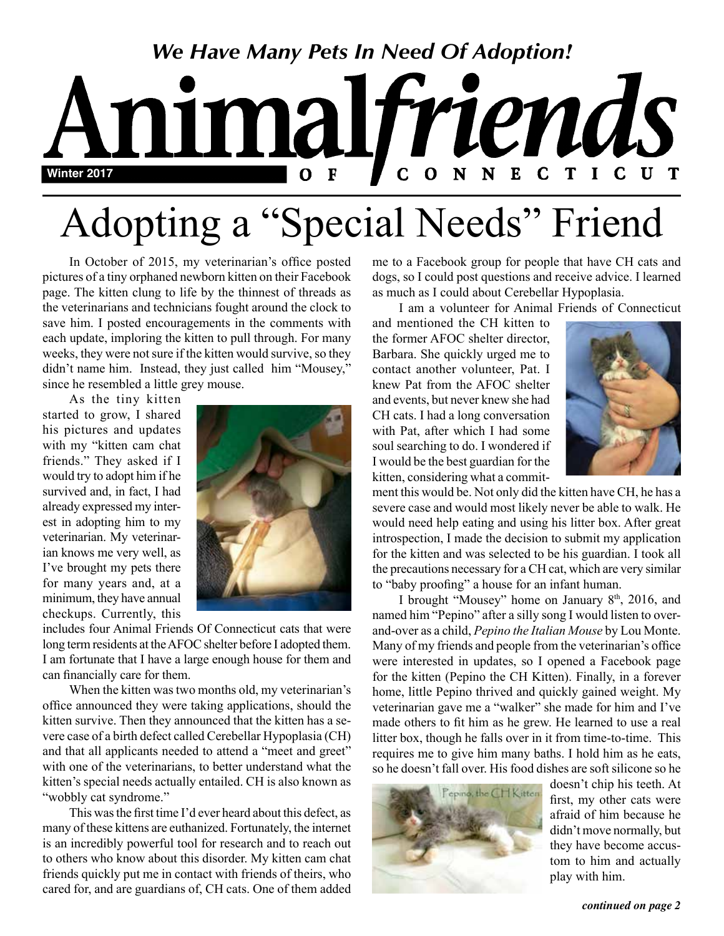

# Adopting a "Special Needs" Friend

In October of 2015, my veterinarian's office posted pictures of a tiny orphaned newborn kitten on their Facebook page. The kitten clung to life by the thinnest of threads as the veterinarians and technicians fought around the clock to save him. I posted encouragements in the comments with each update, imploring the kitten to pull through. For many weeks, they were not sure if the kitten would survive, so they didn't name him. Instead, they just called him "Mousey," since he resembled a little grey mouse.

As the tiny kitten started to grow, I shared his pictures and updates with my "kitten cam chat friends." They asked if I would try to adopt him if he survived and, in fact, I had already expressed my interest in adopting him to my veterinarian. My veterinarian knows me very well, as I've brought my pets there for many years and, at a minimum, they have annual checkups. Currently, this



includes four Animal Friends Of Connecticut cats that were long term residents at the AFOC shelter before I adopted them. I am fortunate that I have a large enough house for them and can financially care for them.

When the kitten was two months old, my veterinarian's office announced they were taking applications, should the kitten survive. Then they announced that the kitten has a severe case of a birth defect called Cerebellar Hypoplasia (CH) and that all applicants needed to attend a "meet and greet" with one of the veterinarians, to better understand what the kitten's special needs actually entailed. CH is also known as "wobbly cat syndrome."

This was the first time I'd ever heard about this defect, as many of these kittens are euthanized. Fortunately, the internet is an incredibly powerful tool for research and to reach out to others who know about this disorder. My kitten cam chat friends quickly put me in contact with friends of theirs, who cared for, and are guardians of, CH cats. One of them added me to a Facebook group for people that have CH cats and dogs, so I could post questions and receive advice. I learned as much as I could about Cerebellar Hypoplasia.

I am a volunteer for Animal Friends of Connecticut

and mentioned the CH kitten to the former AFOC shelter director, Barbara. She quickly urged me to contact another volunteer, Pat. I knew Pat from the AFOC shelter and events, but never knew she had CH cats. I had a long conversation with Pat, after which I had some soul searching to do. I wondered if I would be the best guardian for the kitten, considering what a commit-



ment this would be. Not only did the kitten have CH, he has a severe case and would most likely never be able to walk. He would need help eating and using his litter box. After great introspection, I made the decision to submit my application for the kitten and was selected to be his guardian. I took all the precautions necessary for a CH cat, which are very similar to "baby proofing" a house for an infant human.

I brought "Mousey" home on January  $8<sup>th</sup>$ , 2016, and named him "Pepino" after a silly song I would listen to overand-over as a child, *Pepino the Italian Mouse* by Lou Monte. Many of my friends and people from the veterinarian's office were interested in updates, so I opened a Facebook page for the kitten (Pepino the CH Kitten). Finally, in a forever home, little Pepino thrived and quickly gained weight. My veterinarian gave me a "walker" she made for him and I've made others to fit him as he grew. He learned to use a real litter box, though he falls over in it from time-to-time. This requires me to give him many baths. I hold him as he eats, so he doesn't fall over. His food dishes are soft silicone so he



doesn't chip his teeth. At first, my other cats were afraid of him because he didn't move normally, but they have become accustom to him and actually play with him.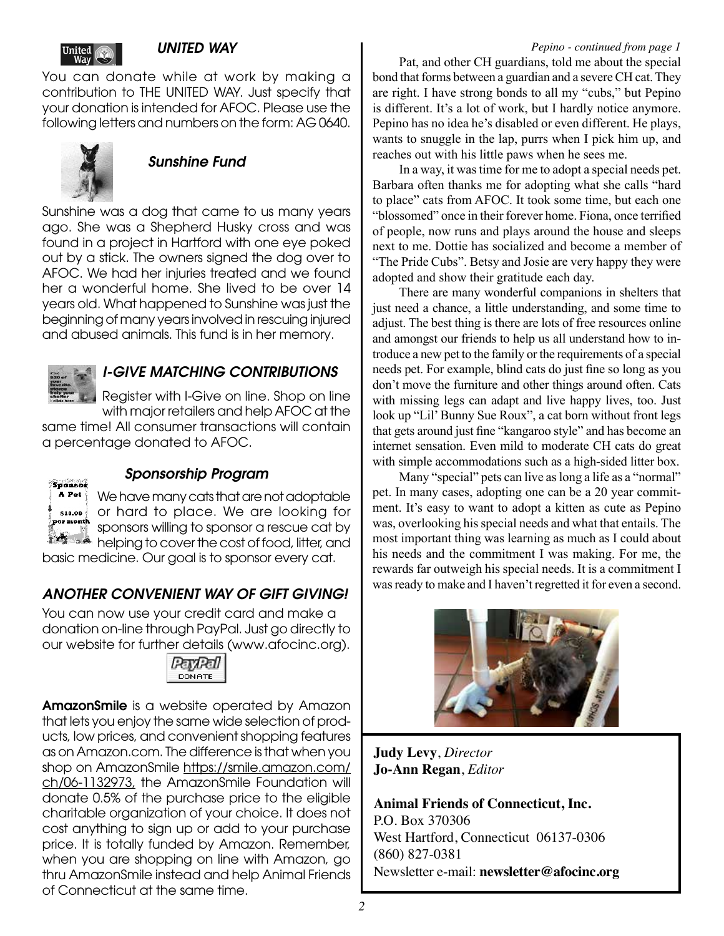#### *UNITED WAY*

You can donate while at work by making a contribution to THE UNITED WAY. Just specify that your donation is intended for AFOC. Please use the following letters and numbers on the form: AG 0640.



## *Sunshine Fund*

Sunshine was a dog that came to us many years ago. She was a Shepherd Husky cross and was found in a project in Hartford with one eye poked out by a stick. The owners signed the dog over to AFOC. We had her injuries treated and we found her a wonderful home. She lived to be over 14 years old. What happened to Sunshine was just the beginning of many years involved in rescuing injured and abused animals. This fund is in her memory.



## *I-GIVE MATCHING CONTRIBUTIONS*

Register with I-Give on line. Shop on line

with major retailers and help AFOC at the same time! All consumer transactions will contain a percentage donated to AFOC.



#### *Sponsorship Program*

We have many cats that are not adoptable or hard to place. We are looking for sponsors willing to sponsor a rescue cat by helping to cover the cost of food, litter, and

basic medicine. Our goal is to sponsor every cat.

## *ANOTHER CONVENIENT WAY OF GIFT GIVING!*

You can now use your credit card and make a donation on-line through PayPal. Just go directly to our website for further details (www.afocinc.org).



AmazonSmile is a website operated by Amazon that lets you enjoy the same wide selection of products, low prices, and convenient shopping features as on Amazon.com. The difference is that when you shop on AmazonSmile https://smile.amazon.com/ ch/06-1132973, the AmazonSmile Foundation will donate 0.5% of the purchase price to the eligible charitable organization of your choice. It does not cost anything to sign up or add to your purchase price. It is totally funded by Amazon. Remember, when you are shopping on line with Amazon, go thru AmazonSmile instead and help Animal Friends of Connecticut at the same time.

Pat, and other CH guardians, told me about the special bond that forms between a guardian and a severe CH cat. They are right. I have strong bonds to all my "cubs," but Pepino is different. It's a lot of work, but I hardly notice anymore. Pepino has no idea he's disabled or even different. He plays, wants to snuggle in the lap, purrs when I pick him up, and reaches out with his little paws when he sees me.

In a way, it was time for me to adopt a special needs pet. Barbara often thanks me for adopting what she calls "hard to place" cats from AFOC. It took some time, but each one "blossomed" once in their forever home. Fiona, once terrified of people, now runs and plays around the house and sleeps next to me. Dottie has socialized and become a member of "The Pride Cubs". Betsy and Josie are very happy they were adopted and show their gratitude each day.

There are many wonderful companions in shelters that just need a chance, a little understanding, and some time to adjust. The best thing is there are lots of free resources online and amongst our friends to help us all understand how to introduce a new pet to the family or the requirements of a special needs pet. For example, blind cats do just fine so long as you don't move the furniture and other things around often. Cats with missing legs can adapt and live happy lives, too. Just look up "Lil' Bunny Sue Roux", a cat born without front legs that gets around just fine "kangaroo style" and has become an internet sensation. Even mild to moderate CH cats do great with simple accommodations such as a high-sided litter box.

Many "special" pets can live as long a life as a "normal" pet. In many cases, adopting one can be a 20 year commitment. It's easy to want to adopt a kitten as cute as Pepino was, overlooking his special needs and what that entails. The most important thing was learning as much as I could about his needs and the commitment I was making. For me, the rewards far outweigh his special needs. It is a commitment I was ready to make and I haven't regretted it for even a second.



**Judy Levy**, *Director* **Jo-Ann Regan**, *Editor*

**Animal Friends of Connecticut, Inc.** P.O. Box 370306 West Hartford, Connecticut 06137-0306 (860) 827-0381 Newsletter e-mail: **newsletter@afocinc.org**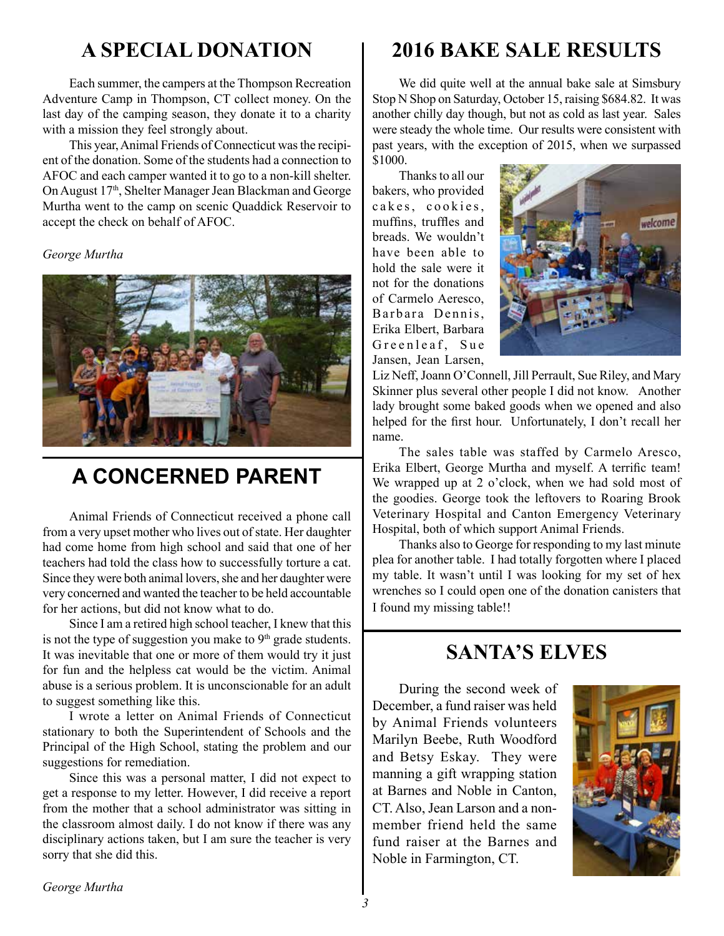# **A SPECIAL DONATION**

Each summer, the campers at the Thompson Recreation Adventure Camp in Thompson, CT collect money. On the last day of the camping season, they donate it to a charity with a mission they feel strongly about.

This year, Animal Friends of Connecticut was the recipient of the donation. Some of the students had a connection to AFOC and each camper wanted it to go to a non-kill shelter. On August 17<sup>th</sup>, Shelter Manager Jean Blackman and George Murtha went to the camp on scenic Quaddick Reservoir to accept the check on behalf of AFOC.

#### *George Murtha*



# **A CONCERNED PARENT**

Animal Friends of Connecticut received a phone call from a very upset mother who lives out of state. Her daughter had come home from high school and said that one of her teachers had told the class how to successfully torture a cat. Since they were both animal lovers, she and her daughter were very concerned and wanted the teacher to be held accountable for her actions, but did not know what to do.

Since I am a retired high school teacher, I knew that this is not the type of suggestion you make to 9<sup>th</sup> grade students. It was inevitable that one or more of them would try it just for fun and the helpless cat would be the victim. Animal abuse is a serious problem. It is unconscionable for an adult to suggest something like this.

I wrote a letter on Animal Friends of Connecticut stationary to both the Superintendent of Schools and the Principal of the High School, stating the problem and our suggestions for remediation.

Since this was a personal matter, I did not expect to get a response to my letter. However, I did receive a report from the mother that a school administrator was sitting in the classroom almost daily. I do not know if there was any disciplinary actions taken, but I am sure the teacher is very sorry that she did this.

# **2016 BAKE SALE RESULTS**

We did quite well at the annual bake sale at Simsbury Stop N Shop on Saturday, October 15, raising \$684.82. It was another chilly day though, but not as cold as last year. Sales were steady the whole time. Our results were consistent with past years, with the exception of 2015, when we surpassed \$1000.

Thanks to all our bakers, who provided cakes, cookies, muffins, truffles and breads. We wouldn't have been able to hold the sale were it not for the donations of Carmelo Aeresco, Barbara Dennis. Erika Elbert, Barbara Greenleaf, Sue Jansen, Jean Larsen,



Liz Neff, Joann O'Connell, Jill Perrault, Sue Riley, and Mary Skinner plus several other people I did not know. Another lady brought some baked goods when we opened and also helped for the first hour. Unfortunately, I don't recall her name.

The sales table was staffed by Carmelo Aresco, Erika Elbert, George Murtha and myself. A terrific team! We wrapped up at 2 o'clock, when we had sold most of the goodies. George took the leftovers to Roaring Brook Veterinary Hospital and Canton Emergency Veterinary Hospital, both of which support Animal Friends.

Thanks also to George for responding to my last minute plea for another table. I had totally forgotten where I placed my table. It wasn't until I was looking for my set of hex wrenches so I could open one of the donation canisters that I found my missing table!!

# **SANTA'S ELVES**

During the second week of December, a fund raiser was held by Animal Friends volunteers Marilyn Beebe, Ruth Woodford and Betsy Eskay. They were manning a gift wrapping station at Barnes and Noble in Canton, CT. Also, Jean Larson and a nonmember friend held the same fund raiser at the Barnes and Noble in Farmington, CT.

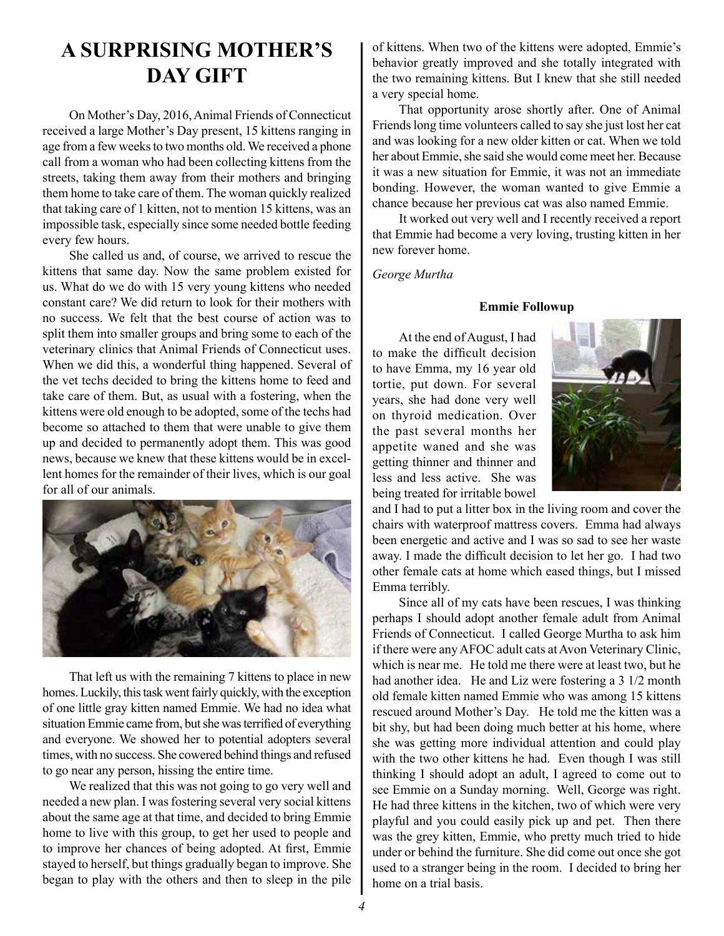# **A SURPRISING MOTHER'S DAY GIFT**

On Mother's Day, 2016, Animal Friends of Connecticut received a large Mother's Day present, 15 kittens ranging in age from a few weeks to two months old. We received a phone call from a woman who had been collecting kittens from the streets, taking them away from their mothers and bringing them home to take care of them. The woman quickly realized that taking care of 1 kitten, not to mention 15 kittens, was an impossible task, especially since some needed bottle feeding every few hours.

She called us and, of course, we arrived to rescue the kittens that same day. Now the same problem existed for us. What do we do with 15 very young kittens who needed constant care? We did return to look for their mothers with no success. We felt that the best course of action was to split them into smaller groups and bring some to each of the veterinary clinics that Animal Friends of Connecticut uses. When we did this, a wonderful thing happened. Several of the vet techs decided to bring the kittens home to feed and take care of them. But, as usual with a fostering, when the kittens were old enough to be adopted, some of the techs had become so attached to them that were unable to give them up and decided to permanently adopt them. This was good news, because we knew that these kittens would be in excellent homes for the remainder of their lives, which is our goal for all of our animals.



That left us with the remaining 7 kittens to place in new homes. Luckily, this task went fairly quickly, with the exception of one little gray kitten named Emmie. We had no idea what situation Emmie came from, but she was terrified of everything and everyone. We showed her to potential adopters several times, with no success. She cowered behind things and refused to go near any person, hissing the entire time.

We realized that this was not going to go very well and needed a new plan. I was fostering several very social kittens about the same age at that time, and decided to bring Emmie home to live with this group, to get her used to people and to improve her chances of being adopted. At first, Emmie stayed to herself, but things gradually began to improve. She began to play with the others and then to sleep in the pile

of kittens. When two of the kittens were adopted, Emmie's behavior greatly improved and she totally integrated with the two remaining kittens. But I knew that she still needed a very special home.

That opportunity arose shortly after. One of Animal Friends long time volunteers called to say she just lost her cat and was looking for a new older kitten or cat. When we told her about Emmie, she said she would come meet her. Because it was a new situation for Emmie, it was not an immediate bonding. However, the woman wanted to give Emmie a chance because her previous cat was also named Emmie.

It worked out very well and I recently received a report that Emmie had become a very loving, trusting kitten in her new forever home.

*George Murtha*

#### **Emmie Followup**

At the end of August, I had to make the difficult decision to have Emma, my 16 year old tortie, put down. For several years, she had done very well on thyroid medication. Over the past several months her appetite waned and she was getting thinner and thinner and less and less active. She was being treated for irritable bowel



and I had to put a litter box in the living room and cover the chairs with waterproof mattress covers. Emma had always been energetic and active and I was so sad to see her waste away. I made the difficult decision to let her go. I had two other female cats at home which eased things, but I missed Emma terribly.

Since all of my cats have been rescues, I was thinking perhaps I should adopt another female adult from Animal Friends of Connecticut. I called George Murtha to ask him if there were any AFOC adult cats at Avon Veterinary Clinic, which is near me. He told me there were at least two, but he had another idea. He and Liz were fostering a 3 1/2 month old female kitten named Emmie who was among 15 kittens rescued around Mother's Day. He told me the kitten was a bit shy, but had been doing much better at his home, where she was getting more individual attention and could play with the two other kittens he had. Even though I was still thinking I should adopt an adult, I agreed to come out to see Emmie on a Sunday morning. Well, George was right. He had three kittens in the kitchen, two of which were very playful and you could easily pick up and pet. Then there was the grey kitten, Emmie, who pretty much tried to hide under or behind the furniture. She did come out once she got used to a stranger being in the room. I decided to bring her home on a trial basis.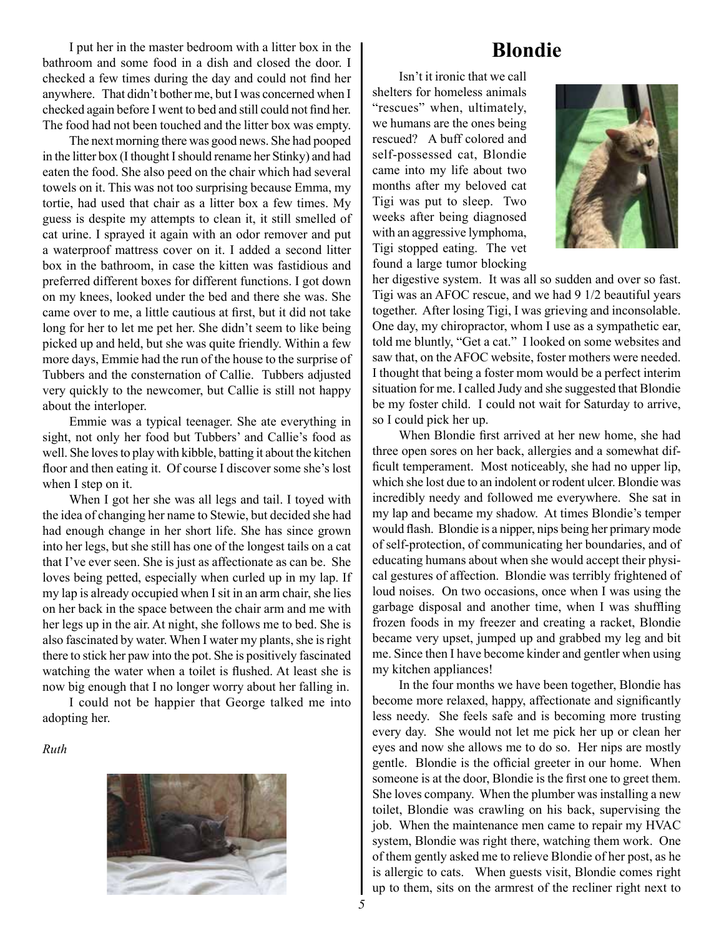I put her in the master bedroom with a litter box in the bathroom and some food in a dish and closed the door. I checked a few times during the day and could not find her anywhere. That didn't bother me, but I was concerned when I checked again before I went to bed and still could not find her. The food had not been touched and the litter box was empty.

The next morning there was good news. She had pooped in the litter box (I thought I should rename her Stinky) and had eaten the food. She also peed on the chair which had several towels on it. This was not too surprising because Emma, my tortie, had used that chair as a litter box a few times. My guess is despite my attempts to clean it, it still smelled of cat urine. I sprayed it again with an odor remover and put a waterproof mattress cover on it. I added a second litter box in the bathroom, in case the kitten was fastidious and preferred different boxes for different functions. I got down on my knees, looked under the bed and there she was. She came over to me, a little cautious at first, but it did not take long for her to let me pet her. She didn't seem to like being picked up and held, but she was quite friendly. Within a few more days, Emmie had the run of the house to the surprise of Tubbers and the consternation of Callie. Tubbers adjusted very quickly to the newcomer, but Callie is still not happy about the interloper.

Emmie was a typical teenager. She ate everything in sight, not only her food but Tubbers' and Callie's food as well. She loves to play with kibble, batting it about the kitchen floor and then eating it. Of course I discover some she's lost when I step on it.

When I got her she was all legs and tail. I toyed with the idea of changing her name to Stewie, but decided she had had enough change in her short life. She has since grown into her legs, but she still has one of the longest tails on a cat that I've ever seen. She is just as affectionate as can be. She loves being petted, especially when curled up in my lap. If my lap is already occupied when I sit in an arm chair, she lies on her back in the space between the chair arm and me with her legs up in the air. At night, she follows me to bed. She is also fascinated by water. When I water my plants, she is right there to stick her paw into the pot. She is positively fascinated watching the water when a toilet is flushed. At least she is now big enough that I no longer worry about her falling in.

I could not be happier that George talked me into adopting her.

*Ruth*



# **Blondie**

Isn't it ironic that we call shelters for homeless animals "rescues" when, ultimately, we humans are the ones being rescued? A buff colored and self-possessed cat, Blondie came into my life about two months after my beloved cat Tigi was put to sleep. Two weeks after being diagnosed with an aggressive lymphoma, Tigi stopped eating. The vet found a large tumor blocking



her digestive system. It was all so sudden and over so fast. Tigi was an AFOC rescue, and we had 9 1/2 beautiful years together. After losing Tigi, I was grieving and inconsolable. One day, my chiropractor, whom I use as a sympathetic ear, told me bluntly, "Get a cat." I looked on some websites and saw that, on the AFOC website, foster mothers were needed. I thought that being a foster mom would be a perfect interim situation for me. I called Judy and she suggested that Blondie be my foster child. I could not wait for Saturday to arrive, so I could pick her up.

When Blondie first arrived at her new home, she had three open sores on her back, allergies and a somewhat difficult temperament. Most noticeably, she had no upper lip, which she lost due to an indolent or rodent ulcer. Blondie was incredibly needy and followed me everywhere. She sat in my lap and became my shadow. At times Blondie's temper would flash. Blondie is a nipper, nips being her primary mode of self-protection, of communicating her boundaries, and of educating humans about when she would accept their physical gestures of affection. Blondie was terribly frightened of loud noises. On two occasions, once when I was using the garbage disposal and another time, when I was shuffling frozen foods in my freezer and creating a racket, Blondie became very upset, jumped up and grabbed my leg and bit me. Since then I have become kinder and gentler when using my kitchen appliances!

In the four months we have been together, Blondie has become more relaxed, happy, affectionate and significantly less needy. She feels safe and is becoming more trusting every day. She would not let me pick her up or clean her eyes and now she allows me to do so. Her nips are mostly gentle. Blondie is the official greeter in our home. When someone is at the door, Blondie is the first one to greet them. She loves company. When the plumber was installing a new toilet, Blondie was crawling on his back, supervising the job. When the maintenance men came to repair my HVAC system, Blondie was right there, watching them work. One of them gently asked me to relieve Blondie of her post, as he is allergic to cats. When guests visit, Blondie comes right up to them, sits on the armrest of the recliner right next to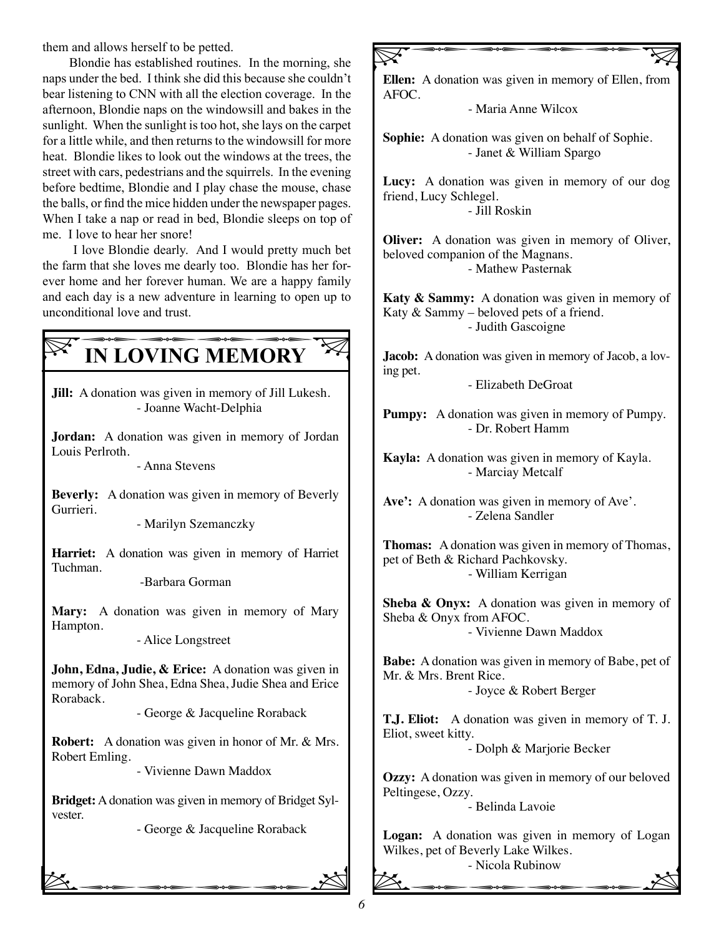them and allows herself to be petted.

Blondie has established routines. In the morning, she naps under the bed. I think she did this because she couldn't bear listening to CNN with all the election coverage. In the afternoon, Blondie naps on the windowsill and bakes in the sunlight. When the sunlight is too hot, she lays on the carpet for a little while, and then returns to the windowsill for more heat. Blondie likes to look out the windows at the trees, the street with cars, pedestrians and the squirrels. In the evening before bedtime, Blondie and I play chase the mouse, chase the balls, or find the mice hidden under the newspaper pages. When I take a nap or read in bed, Blondie sleeps on top of me. I love to hear her snore!

 I love Blondie dearly. And I would pretty much bet the farm that she loves me dearly too. Blondie has her forever home and her forever human. We are a happy family and each day is a new adventure in learning to open up to unconditional love and trust.

# **EXAMPLE DESCRIPTION DEMORY**

**Jill:** A donation was given in memory of Jill Lukesh. - Joanne Wacht-Delphia

**Jordan:** A donation was given in memory of Jordan Louis Perlroth.

- Anna Stevens

**Beverly:** A donation was given in memory of Beverly Gurrieri.

- Marilyn Szemanczky

**Harriet:** A donation was given in memory of Harriet Tuchman.

-Barbara Gorman

**Mary:** A donation was given in memory of Mary Hampton.

- Alice Longstreet

**John, Edna, Judie, & Erice:** A donation was given in memory of John Shea, Edna Shea, Judie Shea and Erice Roraback.

- George & Jacqueline Roraback

**Robert:** A donation was given in honor of Mr. & Mrs. Robert Emling.

- Vivienne Dawn Maddox

**Bridget:** A donation was given in memory of Bridget Sylvester.

 $\sum$ - George & Jacqueline Roraback

## **Ellen:** A donation was given in memory of Ellen, from AFOC. - Maria Anne Wilcox  $\nabla$

**Sophie:** A donation was given on behalf of Sophie. - Janet & William Spargo

**Lucy:** A donation was given in memory of our dog friend, Lucy Schlegel. - Jill Roskin

**Oliver:** A donation was given in memory of Oliver, beloved companion of the Magnans. - Mathew Pasternak

**Katy & Sammy:** A donation was given in memory of Katy & Sammy – beloved pets of a friend. - Judith Gascoigne

**Jacob:** A donation was given in memory of Jacob, a loving pet.

- Elizabeth DeGroat

**Pumpy:** A donation was given in memory of Pumpy. - Dr. Robert Hamm

**Kayla:** A donation was given in memory of Kayla. - Marciay Metcalf

**Ave':** A donation was given in memory of Ave'. - Zelena Sandler

**Thomas:** A donation was given in memory of Thomas, pet of Beth & Richard Pachkovsky. - William Kerrigan

**Sheba & Onyx:** A donation was given in memory of Sheba & Onyx from AFOC. - Vivienne Dawn Maddox

**Babe:** A donation was given in memory of Babe, pet of Mr. & Mrs. Brent Rice.

- Joyce & Robert Berger

**T.J. Eliot:** A donation was given in memory of T. J. Eliot, sweet kitty.

- Dolph & Marjorie Becker

**Ozzy:** A donation was given in memory of our beloved Peltingese, Ozzy.

- Belinda Lavoie

**Logan:** A donation was given in memory of Logan Wilkes, pet of Beverly Lake Wilkes. - Nicola Rubinow bqqqqB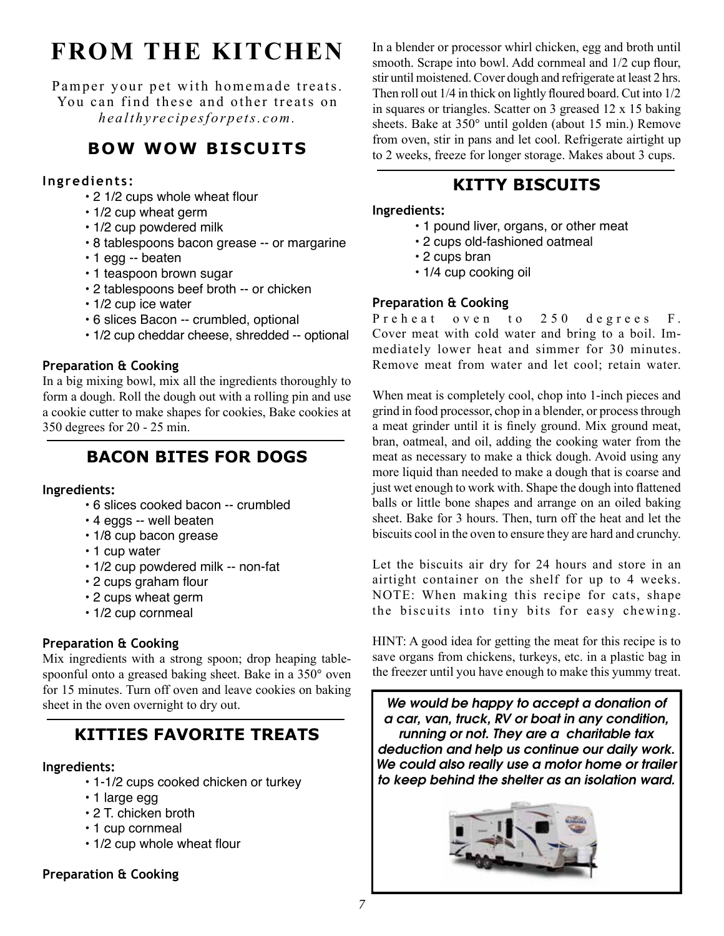# **FROM THE KITCHEN**

Pamper your pet with homemade treats. You can find these and other treats on *healthyrecipesforpets.com.*

# **BOW WOW BISCUITS**

#### **Ingredients:**

- 2 1/2 cups whole wheat flour
- 1/2 cup wheat germ
- 1/2 cup powdered milk
- 8 tablespoons bacon grease -- or margarine
- 1 egg -- beaten
- 1 teaspoon brown sugar
- 2 tablespoons beef broth -- or chicken
- 1/2 cup ice water
- 6 slices Bacon -- crumbled, optional
- 1/2 cup cheddar cheese, shredded -- optional

#### **Preparation & Cooking**

In a big mixing bowl, mix all the ingredients thoroughly to form a dough. Roll the dough out with a rolling pin and use a cookie cutter to make shapes for cookies, Bake cookies at 350 degrees for 20 - 25 min.

# **BACON BITES FOR DOGS**

#### **Ingredients:**

- 6 slices cooked bacon -- crumbled
- 4 eggs -- well beaten
- 1/8 cup bacon grease
- 1 cup water
- 1/2 cup powdered milk -- non-fat
- 2 cups graham flour
- 2 cups wheat germ
- 1/2 cup cornmeal

### **Preparation & Cooking**

Mix ingredients with a strong spoon; drop heaping tablespoonful onto a greased baking sheet. Bake in a 350° oven for 15 minutes. Turn off oven and leave cookies on baking sheet in the oven overnight to dry out.

# **KITTIES FAVORITE TREATS**

#### **Ingredients:**

- 1-1/2 cups cooked chicken or turkey
- 1 large egg
- 2 T. chicken broth
- 1 cup cornmeal
- 1/2 cup whole wheat flour

### **Preparation & Cooking**

In a blender or processor whirl chicken, egg and broth until smooth. Scrape into bowl. Add cornmeal and  $1/2$  cup flour, stir until moistened. Cover dough and refrigerate at least 2 hrs. Then roll out 1/4 in thick on lightly floured board. Cut into 1/2 in squares or triangles. Scatter on 3 greased 12 x 15 baking sheets. Bake at 350° until golden (about 15 min.) Remove from oven, stir in pans and let cool. Refrigerate airtight up to 2 weeks, freeze for longer storage. Makes about 3 cups.

## **KITTY BISCUITS**

#### **Ingredients:**

- 1 pound liver, organs, or other meat
- 2 cups old-fashioned oatmeal
- 2 cups bran
- 1/4 cup cooking oil

#### **Preparation & Cooking**

Preheat oven to 250 degrees F. Cover meat with cold water and bring to a boil. Immediately lower heat and simmer for 30 minutes. Remove meat from water and let cool; retain water.

When meat is completely cool, chop into 1-inch pieces and grind in food processor, chop in a blender, or process through a meat grinder until it is finely ground. Mix ground meat, bran, oatmeal, and oil, adding the cooking water from the meat as necessary to make a thick dough. Avoid using any more liquid than needed to make a dough that is coarse and just wet enough to work with. Shape the dough into flattened balls or little bone shapes and arrange on an oiled baking sheet. Bake for 3 hours. Then, turn off the heat and let the biscuits cool in the oven to ensure they are hard and crunchy.

Let the biscuits air dry for 24 hours and store in an airtight container on the shelf for up to 4 weeks. NOTE: When making this recipe for cats, shape the biscuits into tiny bits for easy chewing.

HINT: A good idea for getting the meat for this recipe is to save organs from chickens, turkeys, etc. in a plastic bag in the freezer until you have enough to make this yummy treat.

*We would be happy to accept a donation of a car, van, truck, RV or boat in any condition, running or not. They are a charitable tax deduction and help us continue our daily work. We could also really use a motor home or trailer to keep behind the shelter as an isolation ward.*